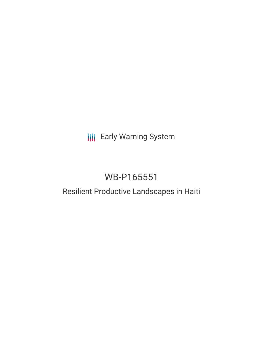**III** Early Warning System

# WB-P165551

# Resilient Productive Landscapes in Haiti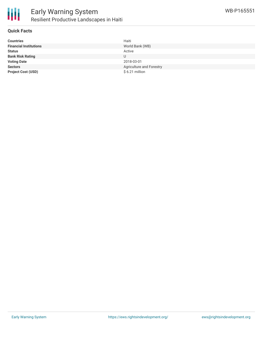

## **Quick Facts**

| <b>Countries</b>              | Haiti                    |
|-------------------------------|--------------------------|
| <b>Financial Institutions</b> | World Bank (WB)          |
| <b>Status</b>                 | Active                   |
| <b>Bank Risk Rating</b>       | U                        |
| <b>Voting Date</b>            | 2018-03-01               |
| <b>Sectors</b>                | Agriculture and Forestry |
| <b>Project Cost (USD)</b>     | $$6.21$ million          |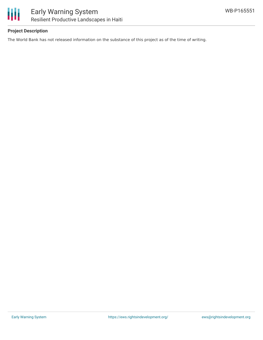



# **Project Description**

The World Bank has not released information on the substance of this project as of the time of writing.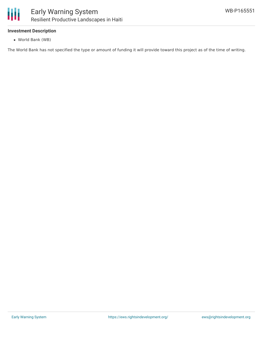

## **Investment Description**

World Bank (WB)

The World Bank has not specified the type or amount of funding it will provide toward this project as of the time of writing.